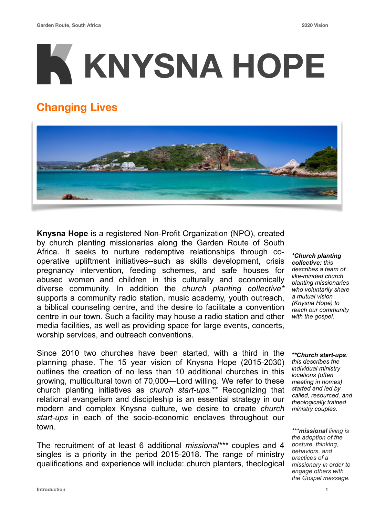# **KNYSNA HOPE**

## **Changing Lives**



**Knysna Hope** is a registered Non-Profit Organization (NPO), created by church planting missionaries along the Garden Route of South Africa. It seeks to nurture redemptive relationships through cooperative upliftment initiatives--such as skills development, crisis pregnancy intervention, feeding schemes, and safe houses for abused women and children in this culturally and economically diverse community. In addition the *church planting collective\** supports a community radio station, music academy, youth outreach, a biblical counseling centre, and the desire to facilitate a convention centre in our town. Such a facility may house a radio station and other media facilities, as well as providing space for large events, concerts, worship services, and outreach conventions.

Since 2010 two churches have been started, with a third in the planning phase. The 15 year vision of Knysna Hope (2015-2030) outlines the creation of no less than 10 additional churches in this growing, multicultural town of 70,000—Lord willing. We refer to these church planting initiatives as *church start-ups.\*\** Recognizing that relational evangelism and discipleship is an essential strategy in our modern and complex Knysna culture, we desire to create *church start-ups* in each of the socio-economic enclaves throughout our town.

The recruitment of at least 6 additional *missional\*\*\** couples and 4 singles is a priority in the period 2015-2018. The range of ministry qualifications and experience will include: church planters, theological

*\*Church planting collective: this describes a team of like-minded church planting missionaries who voluntarily share a mutual vision (Knysna Hope) to reach our community with the gospel.*

*\*\*Church start-ups: this describes the individual ministry locations (often meeting in homes) started and led by called, resourced, and theologically trained ministry couples.*

*\*\*\*missional living is the adoption of the posture, thinking, behaviors, and practices of a missionary in order to engage others with the Gospel message.*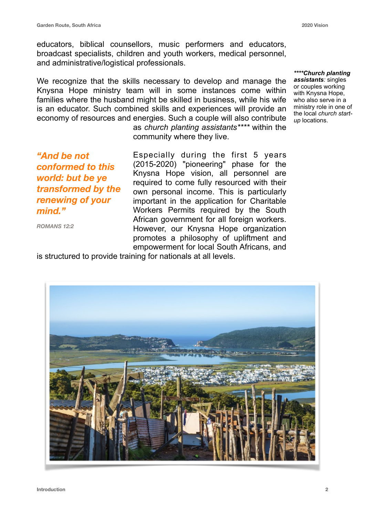educators, biblical counsellors, music performers and educators, broadcast specialists, children and youth workers, medical personnel, and administrative/logistical professionals.

We recognize that the skills necessary to develop and manage the Knysna Hope ministry team will in some instances come within families where the husband might be skilled in business, while his wife is an educator. Such combined skills and experiences will provide an economy of resources and energies. Such a couple will also contribute as *church planting assistants\*\*\*\** within the

community where they live.

*"And be not conformed to this world: but be ye transformed by the renewing of your mind."* 

*ROMANS 12:2*

Especially during the first 5 years (2015-2020) "pioneering" phase for the Knysna Hope vision, all personnel are required to come fully resourced with their own personal income. This is particularly important in the application for Charitable Workers Permits required by the South African government for all foreign workers. However, our Knysna Hope organization promotes a philosophy of upliftment and empowerment for local South Africans, and

is structured to provide training for nationals at all levels.



*\*\*\*\*Church planting assistants:* singles or couples working with Knysna Hope. who also serve in a ministry role in one of the local *church startup* locations.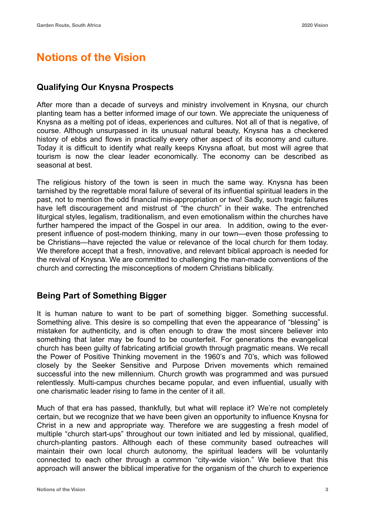### **Notions of the Vision**

#### **Qualifying Our Knysna Prospects**

After more than a decade of surveys and ministry involvement in Knysna, our church planting team has a better informed image of our town. We appreciate the uniqueness of Knysna as a melting pot of ideas, experiences and cultures. Not all of that is negative, of course. Although unsurpassed in its unusual natural beauty, Knysna has a checkered history of ebbs and flows in practically every other aspect of its economy and culture. Today it is difficult to identify what really keeps Knysna afloat, but most will agree that tourism is now the clear leader economically. The economy can be described as seasonal at best.

The religious history of the town is seen in much the same way. Knysna has been tarnished by the regrettable moral failure of several of its influential spiritual leaders in the past, not to mention the odd financial mis-appropriation or two! Sadly, such tragic failures have left discouragement and mistrust of "the church" in their wake. The entrenched liturgical styles, legalism, traditionalism, and even emotionalism within the churches have further hampered the impact of the Gospel in our area. In addition, owing to the everpresent influence of post-modern thinking, many in our town—even those professing to be Christians—have rejected the value or relevance of the local church for them today. We therefore accept that a fresh, innovative, and relevant biblical approach is needed for the revival of Knysna. We are committed to challenging the man-made conventions of the church and correcting the misconceptions of modern Christians biblically.

#### **Being Part of Something Bigger**

It is human nature to want to be part of something bigger. Something successful. Something alive. This desire is so compelling that even the appearance of "blessing" is mistaken for authenticity, and is often enough to draw the most sincere believer into something that later may be found to be counterfeit. For generations the evangelical church has been guilty of fabricating artificial growth through pragmatic means. We recall the Power of Positive Thinking movement in the 1960's and 70's, which was followed closely by the Seeker Sensitive and Purpose Driven movements which remained successful into the new millennium. Church growth was programmed and was pursued relentlessly. Multi-campus churches became popular, and even influential, usually with one charismatic leader rising to fame in the center of it all.

Much of that era has passed, thankfully, but what will replace it? We're not completely certain, but we recognize that we have been given an opportunity to influence Knysna for Christ in a new and appropriate way. Therefore we are suggesting a fresh model of multiple "church start-ups" throughout our town initiated and led by missional, qualified, church-planting pastors. Although each of these community based outreaches will maintain their own local church autonomy, the spiritual leaders will be voluntarily connected to each other through a common "city-wide vision." We believe that this approach will answer the biblical imperative for the organism of the church to experience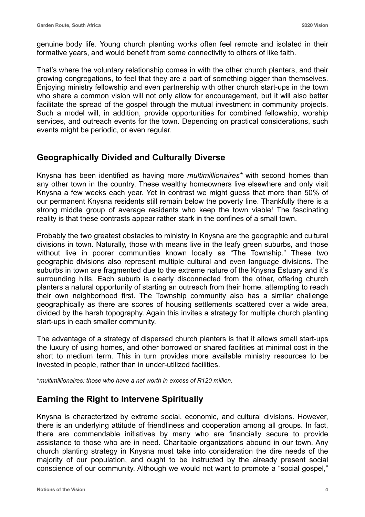genuine body life. Young church planting works often feel remote and isolated in their formative years, and would benefit from some connectivity to others of like faith.

That's where the voluntary relationship comes in with the other church planters, and their growing congregations, to feel that they are a part of something bigger than themselves. Enjoying ministry fellowship and even partnership with other church start-ups in the town who share a common vision will not only allow for encouragement, but it will also better facilitate the spread of the gospel through the mutual investment in community projects. Such a model will, in addition, provide opportunities for combined fellowship, worship services, and outreach events for the town. Depending on practical considerations, such events might be periodic, or even regular.

#### **Geographically Divided and Culturally Diverse**

Knysna has been identified as having more *multimillionaires\** with second homes than any other town in the country. These wealthy homeowners live elsewhere and only visit Knysna a few weeks each year. Yet in contrast we might guess that more than 50% of our permanent Knysna residents still remain below the poverty line. Thankfully there is a strong middle group of average residents who keep the town viable! The fascinating reality is that these contrasts appear rather stark in the confines of a small town.

Probably the two greatest obstacles to ministry in Knysna are the geographic and cultural divisions in town. Naturally, those with means live in the leafy green suburbs, and those without live in poorer communities known locally as "The Township." These two geographic divisions also represent multiple cultural and even language divisions. The suburbs in town are fragmented due to the extreme nature of the Knysna Estuary and it's surrounding hills. Each suburb is clearly disconnected from the other, offering church planters a natural opportunity of starting an outreach from their home, attempting to reach their own neighborhood first. The Township community also has a similar challenge geographically as there are scores of housing settlements scattered over a wide area, divided by the harsh topography. Again this invites a strategy for multiple church planting start-ups in each smaller community.

The advantage of a strategy of dispersed church planters is that it allows small start-ups the luxury of using homes, and other borrowed or shared facilities at minimal cost in the short to medium term. This in turn provides more available ministry resources to be invested in people, rather than in under-utilized facilities.

\**multimillionaires: those who have a net worth in excess of R120 million.*

#### **Earning the Right to Intervene Spiritually**

Knysna is characterized by extreme social, economic, and cultural divisions. However, there is an underlying attitude of friendliness and cooperation among all groups. In fact, there are commendable initiatives by many who are financially secure to provide assistance to those who are in need. Charitable organizations abound in our town. Any church planting strategy in Knysna must take into consideration the dire needs of the majority of our population, and ought to be instructed by the already present social conscience of our community. Although we would not want to promote a "social gospel,"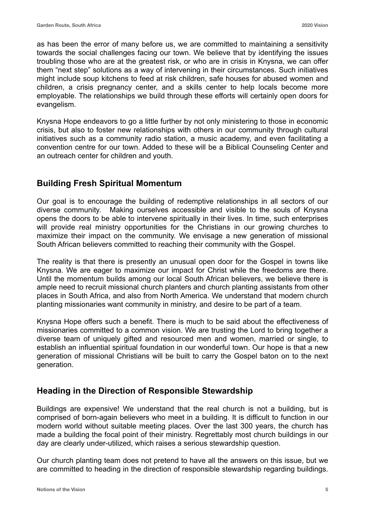as has been the error of many before us, we are committed to maintaining a sensitivity towards the social challenges facing our town. We believe that by identifying the issues troubling those who are at the greatest risk, or who are in crisis in Knysna, we can offer them "next step" solutions as a way of intervening in their circumstances. Such initiatives might include soup kitchens to feed at risk children, safe houses for abused women and children, a crisis pregnancy center, and a skills center to help locals become more employable. The relationships we build through these efforts will certainly open doors for evangelism.

Knysna Hope endeavors to go a little further by not only ministering to those in economic crisis, but also to foster new relationships with others in our community through cultural initiatives such as a community radio station, a music academy, and even facilitating a convention centre for our town. Added to these will be a Biblical Counseling Center and an outreach center for children and youth.

#### **Building Fresh Spiritual Momentum**

Our goal is to encourage the building of redemptive relationships in all sectors of our diverse community. Making ourselves accessible and visible to the souls of Knysna opens the doors to be able to intervene spiritually in their lives. In time, such enterprises will provide real ministry opportunities for the Christians in our growing churches to maximize their impact on the community. We envisage a new generation of missional South African believers committed to reaching their community with the Gospel.

The reality is that there is presently an unusual open door for the Gospel in towns like Knysna. We are eager to maximize our impact for Christ while the freedoms are there. Until the momentum builds among our local South African believers, we believe there is ample need to recruit missional church planters and church planting assistants from other places in South Africa, and also from North America. We understand that modern church planting missionaries want community in ministry, and desire to be part of a team.

Knysna Hope offers such a benefit. There is much to be said about the effectiveness of missionaries committed to a common vision. We are trusting the Lord to bring together a diverse team of uniquely gifted and resourced men and women, married or single, to establish an influential spiritual foundation in our wonderful town. Our hope is that a new generation of missional Christians will be built to carry the Gospel baton on to the next generation.

#### **Heading in the Direction of Responsible Stewardship**

Buildings are expensive! We understand that the real church is not a building, but is comprised of born-again believers who meet in a building. It is difficult to function in our modern world without suitable meeting places. Over the last 300 years, the church has made a building the focal point of their ministry. Regrettably most church buildings in our day are clearly under-utilized, which raises a serious stewardship question.

Our church planting team does not pretend to have all the answers on this issue, but we are committed to heading in the direction of responsible stewardship regarding buildings.